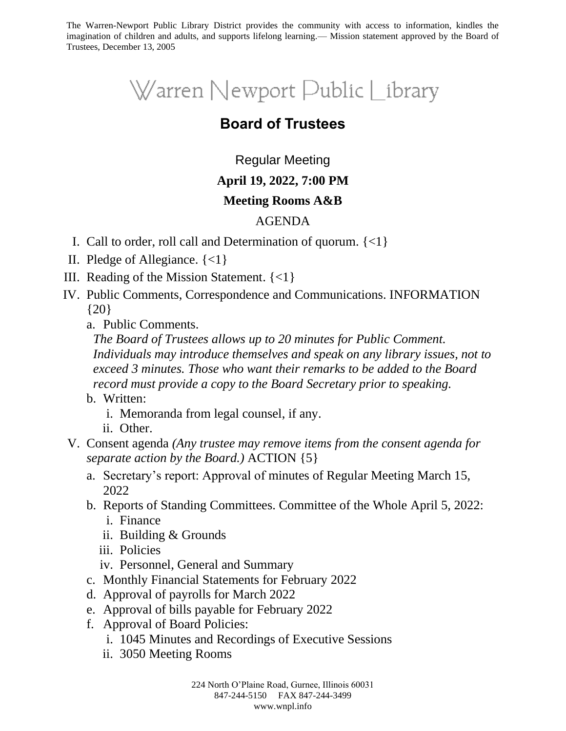The Warren-Newport Public Library District provides the community with access to information, kindles the imagination of children and adults, and supports lifelong learning.— Mission statement approved by the Board of Trustees, December 13, 2005

# Warren Newport Public Library

## **Board of Trustees**

### Regular Meeting

#### **April 19, 2022, 7:00 PM**

#### **Meeting Rooms A&B**

#### AGENDA

- I. Call to order, roll call and Determination of quorum. {<1}
- II. Pledge of Allegiance. {<1}
- III. Reading of the Mission Statement. {<1}
- IV. Public Comments, Correspondence and Communications. INFORMATION {20}
	- a. Public Comments.

*The Board of Trustees allows up to 20 minutes for Public Comment. Individuals may introduce themselves and speak on any library issues, not to exceed 3 minutes. Those who want their remarks to be added to the Board record must provide a copy to the Board Secretary prior to speaking.*

- b. Written:
	- i. Memoranda from legal counsel, if any.
	- ii. Other.
- V. Consent agenda *(Any trustee may remove items from the consent agenda for separate action by the Board.)* ACTION {5}
	- a. Secretary's report: Approval of minutes of Regular Meeting March 15, 2022
	- b. Reports of Standing Committees. Committee of the Whole April 5, 2022:
		- i. Finance
		- ii. Building & Grounds
		- iii. Policies
		- iv. Personnel, General and Summary
	- c. Monthly Financial Statements for February 2022
	- d. Approval of payrolls for March 2022
	- e. Approval of bills payable for February 2022
	- f. Approval of Board Policies:
		- i. 1045 Minutes and Recordings of Executive Sessions
		- ii. 3050 Meeting Rooms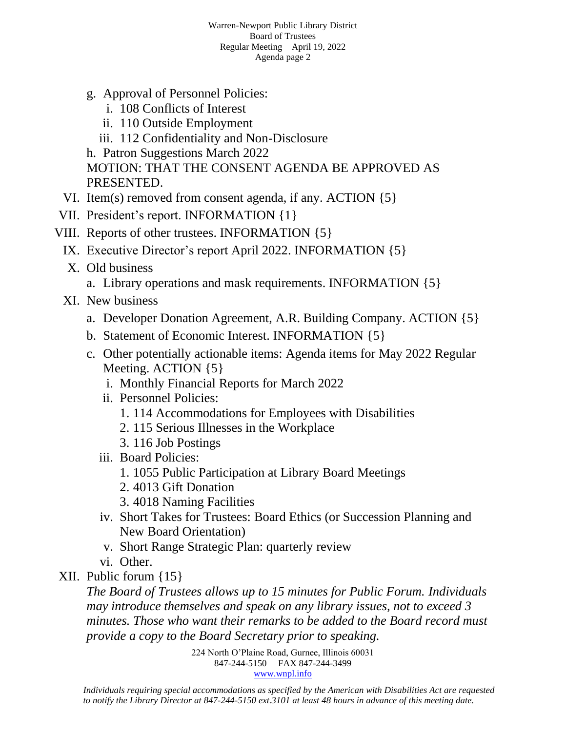- g. Approval of Personnel Policies:
	- i. 108 Conflicts of Interest
	- ii. 110 Outside Employment
	- iii. 112 Confidentiality and Non-Disclosure

h. Patron Suggestions March 2022

MOTION: THAT THE CONSENT AGENDA BE APPROVED AS PRESENTED.

- VI. Item(s) removed from consent agenda, if any. ACTION {5}
- VII. President's report. INFORMATION {1}
- VIII. Reports of other trustees. INFORMATION {5}
	- IX. Executive Director's report April 2022. INFORMATION {5}
	- X. Old business
		- a. Library operations and mask requirements. INFORMATION {5}
	- XI. New business
		- a. Developer Donation Agreement, A.R. Building Company. ACTION {5}
		- b. Statement of Economic Interest. INFORMATION {5}
		- c. Other potentially actionable items: Agenda items for May 2022 Regular Meeting. ACTION {5}
			- i. Monthly Financial Reports for March 2022
			- ii. Personnel Policies:
				- 1. 114 Accommodations for Employees with Disabilities
				- 2. 115 Serious Illnesses in the Workplace
				- 3. 116 Job Postings
			- iii. Board Policies:
				- 1. 1055 Public Participation at Library Board Meetings
				- 2. 4013 Gift Donation
				- 3. 4018 Naming Facilities
			- iv. Short Takes for Trustees: Board Ethics (or Succession Planning and New Board Orientation)
			- v. Short Range Strategic Plan: quarterly review
			- vi. Other.
- XII. Public forum {15}

*The Board of Trustees allows up to 15 minutes for Public Forum. Individuals may introduce themselves and speak on any library issues, not to exceed 3 minutes. Those who want their remarks to be added to the Board record must provide a copy to the Board Secretary prior to speaking.*

> 224 North O'Plaine Road, Gurnee, Illinois 60031 847-244-5150 FAX 847-244-3499 [www.wnpl.info](http://www.wnpl.info/)

*Individuals requiring special accommodations as specified by the American with Disabilities Act are requested to notify the Library Director at 847-244-5150 ext.3101 at least 48 hours in advance of this meeting date.*